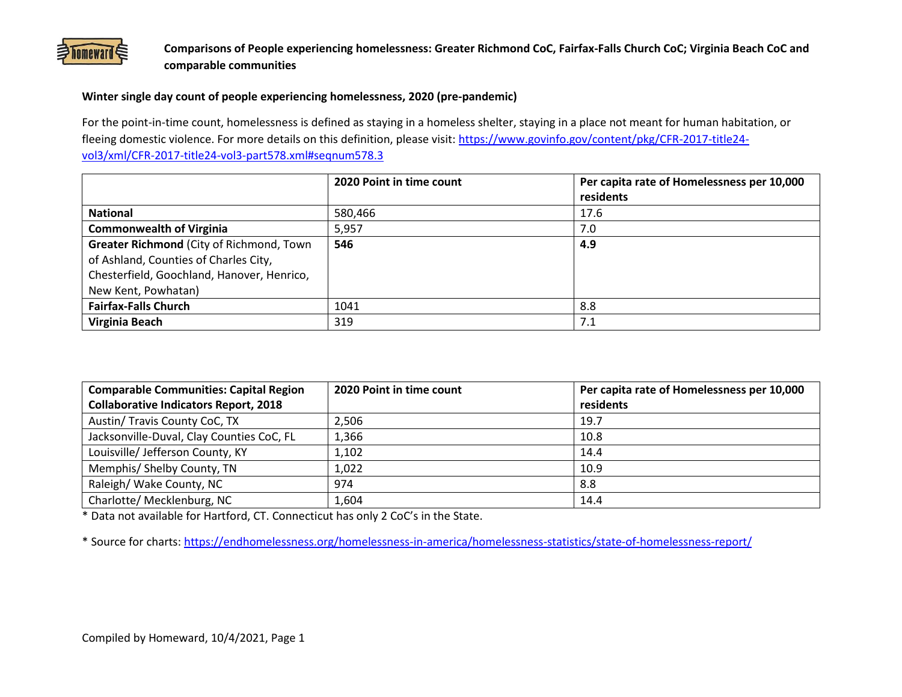

## **Comparisons of People experiencing homelessness: Greater Richmond CoC, Fairfax-Falls Church CoC; Virginia Beach CoC and comparable communities**

## **Winter single day count of people experiencing homelessness, 2020 (pre-pandemic)**

For the point-in-time count, homelessness is defined as staying in a homeless shelter, staying in a place not meant for human habitation, or fleeing domestic violence. For more details on this definition, please visit[: https://www.govinfo.gov/content/pkg/CFR-2017-title24](https://www.govinfo.gov/content/pkg/CFR-2017-title24-vol3/xml/CFR-2017-title24-vol3-part578.xml#seqnum578.3) [vol3/xml/CFR-2017-title24-vol3-part578.xml#seqnum578.3](https://www.govinfo.gov/content/pkg/CFR-2017-title24-vol3/xml/CFR-2017-title24-vol3-part578.xml#seqnum578.3)

|                                            | 2020 Point in time count | Per capita rate of Homelessness per 10,000 |
|--------------------------------------------|--------------------------|--------------------------------------------|
|                                            |                          | residents                                  |
| <b>National</b>                            | 580,466                  | 17.6                                       |
| <b>Commonwealth of Virginia</b>            | 5,957                    | 7.0                                        |
| Greater Richmond (City of Richmond, Town   | 546                      | 4.9                                        |
| of Ashland, Counties of Charles City,      |                          |                                            |
| Chesterfield, Goochland, Hanover, Henrico, |                          |                                            |
| New Kent, Powhatan)                        |                          |                                            |
| <b>Fairfax-Falls Church</b>                | 1041                     | 8.8                                        |
| Virginia Beach                             | 319                      | 7.1                                        |

| <b>Comparable Communities: Capital Region</b> | 2020 Point in time count | Per capita rate of Homelessness per 10,000 |
|-----------------------------------------------|--------------------------|--------------------------------------------|
| <b>Collaborative Indicators Report, 2018</b>  |                          | residents                                  |
| Austin/ Travis County CoC, TX                 | 2,506                    | 19.7                                       |
| Jacksonville-Duval, Clay Counties CoC, FL     | 1,366                    | 10.8                                       |
| Louisville/ Jefferson County, KY              | 1,102                    | 14.4                                       |
| Memphis/ Shelby County, TN                    | 1,022                    | 10.9                                       |
| Raleigh/ Wake County, NC                      | 974                      | 8.8                                        |
| Charlotte/ Mecklenburg, NC                    | 1,604                    | 14.4                                       |

\* Data not available for Hartford, CT. Connecticut has only 2 CoC's in the State.

\* Source for charts[: https://endhomelessness.org/homelessness-in-america/homelessness-statistics/state-of-homelessness-report/](https://endhomelessness.org/homelessness-in-america/homelessness-statistics/state-of-homelessness-report/)